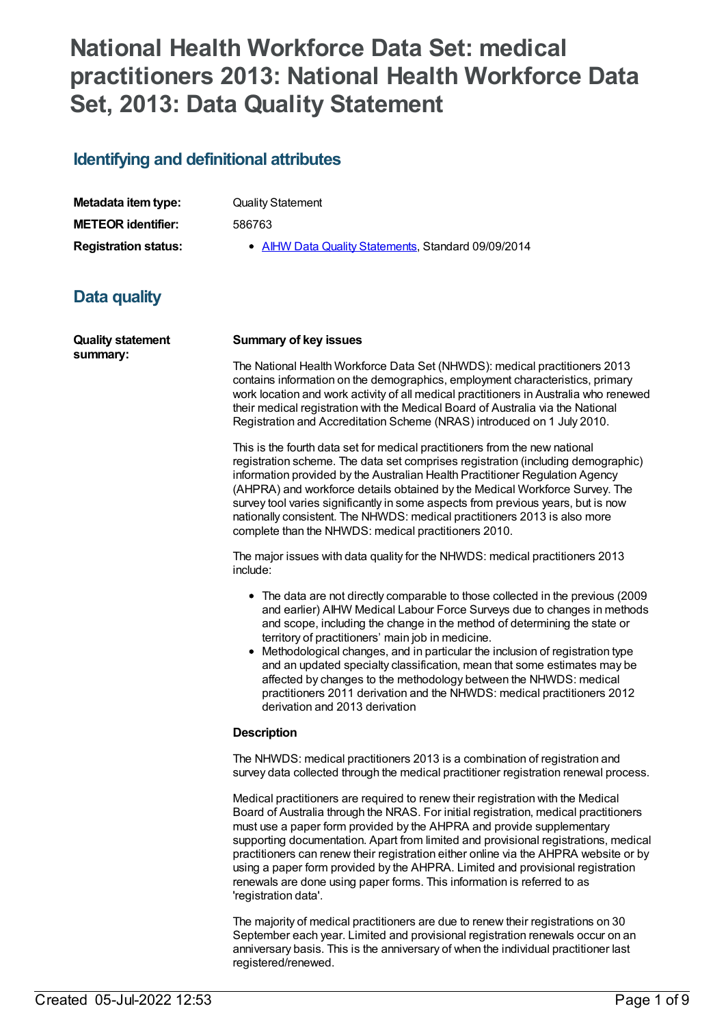# **National Health Workforce Data Set: medical practitioners 2013: National Health Workforce Data Set, 2013: Data Quality Statement**

### **Identifying and definitional attributes**

| Metadata item type:         | <b>Quality Statement</b>                            |
|-----------------------------|-----------------------------------------------------|
| <b>METEOR identifier:</b>   | 586763                                              |
| <b>Registration status:</b> | • AIHW Data Quality Statements, Standard 09/09/2014 |

## **Data quality**

| <b>Quality statement</b><br>summary: | <b>Summary of key issues</b>                                                                                                                                                                                                                                                                                                                                                                                                                                                                                                                                                                                                                  |  |
|--------------------------------------|-----------------------------------------------------------------------------------------------------------------------------------------------------------------------------------------------------------------------------------------------------------------------------------------------------------------------------------------------------------------------------------------------------------------------------------------------------------------------------------------------------------------------------------------------------------------------------------------------------------------------------------------------|--|
|                                      | The National Health Workforce Data Set (NHWDS): medical practitioners 2013<br>contains information on the demographics, employment characteristics, primary<br>work location and work activity of all medical practitioners in Australia who renewed<br>their medical registration with the Medical Board of Australia via the National<br>Registration and Accreditation Scheme (NRAS) introduced on 1 July 2010.                                                                                                                                                                                                                            |  |
|                                      | This is the fourth data set for medical practitioners from the new national<br>registration scheme. The data set comprises registration (including demographic)<br>information provided by the Australian Health Practitioner Regulation Agency<br>(AHPRA) and workforce details obtained by the Medical Workforce Survey. The<br>survey tool varies significantly in some aspects from previous years, but is now<br>nationally consistent. The NHWDS: medical practitioners 2013 is also more<br>complete than the NHWDS: medical practitioners 2010.                                                                                       |  |
|                                      | The major issues with data quality for the NHWDS: medical practitioners 2013<br>include:                                                                                                                                                                                                                                                                                                                                                                                                                                                                                                                                                      |  |
|                                      | • The data are not directly comparable to those collected in the previous (2009<br>and earlier) AIHW Medical Labour Force Surveys due to changes in methods<br>and scope, including the change in the method of determining the state or<br>territory of practitioners' main job in medicine.<br>• Methodological changes, and in particular the inclusion of registration type<br>and an updated specialty classification, mean that some estimates may be<br>affected by changes to the methodology between the NHWDS: medical<br>practitioners 2011 derivation and the NHWDS: medical practitioners 2012<br>derivation and 2013 derivation |  |
|                                      | <b>Description</b>                                                                                                                                                                                                                                                                                                                                                                                                                                                                                                                                                                                                                            |  |
|                                      | The NHWDS: medical practitioners 2013 is a combination of registration and<br>survey data collected through the medical practitioner registration renewal process.                                                                                                                                                                                                                                                                                                                                                                                                                                                                            |  |
|                                      | Medical practitioners are required to renew their registration with the Medical<br>Board of Australia through the NRAS. For initial registration, medical practitioners<br>must use a paper form provided by the AHPRA and provide supplementary<br>supporting documentation. Apart from limited and provisional registrations, medical<br>practitioners can renew their registration either online via the AHPRA website or by<br>using a paper form provided by the AHPRA. Limited and provisional registration<br>renewals are done using paper forms. This information is referred to as<br>'registration data'.                          |  |
|                                      | The majority of medical practitioners are due to renew their registrations on 30<br>September each year. Limited and provisional registration renewals occur on an                                                                                                                                                                                                                                                                                                                                                                                                                                                                            |  |

anniversary basis. This is the anniversary of when the individual practitioner last

registered/renewed.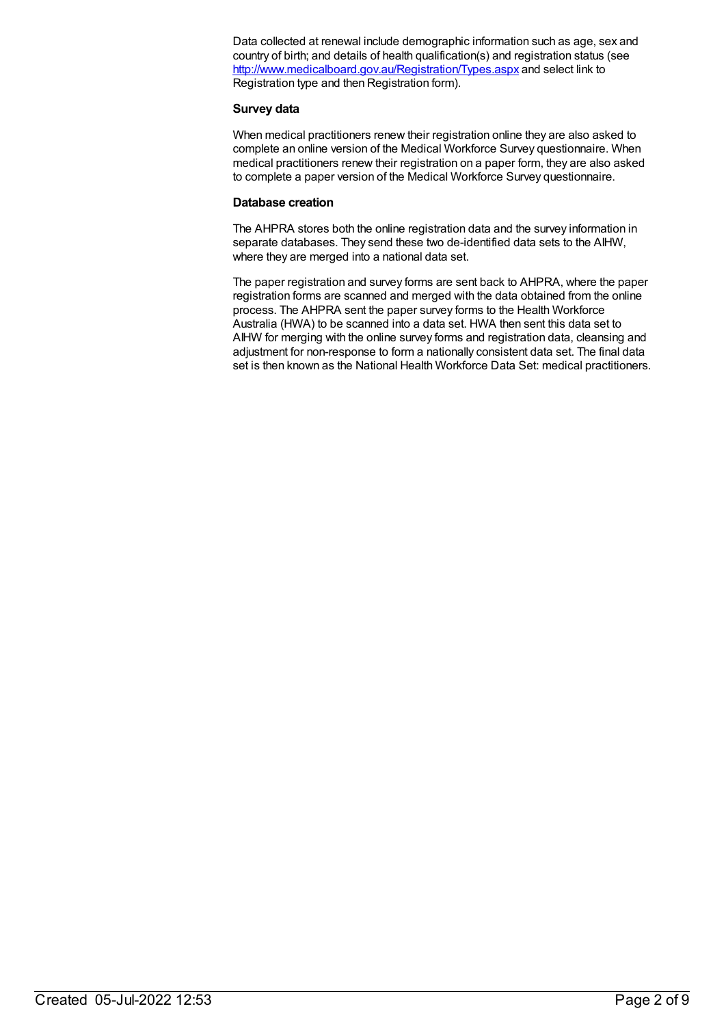Data collected at renewal include demographic information such as age, sex and country of birth; and details of health qualification(s) and registration status (see <http://www.medicalboard.gov.au/Registration/Types.aspx> and select link to Registration type and then Registration form).

#### **Survey data**

When medical practitioners renew their registration online they are also asked to complete an online version of the Medical Workforce Survey questionnaire. When medical practitioners renew their registration on a paper form, they are also asked to complete a paper version of the Medical Workforce Survey questionnaire.

#### **Database creation**

The AHPRA stores both the online registration data and the survey information in separate databases. They send these two de-identified data sets to the AIHW, where they are merged into a national data set.

The paper registration and survey forms are sent back to AHPRA, where the paper registration forms are scanned and merged with the data obtained from the online process. The AHPRA sent the paper survey forms to the Health Workforce Australia (HWA) to be scanned into a data set. HWA then sent this data set to AIHW for merging with the online survey forms and registration data, cleansing and adjustment for non-response to form a nationally consistent data set. The final data set is then known as the National Health Workforce Data Set: medical practitioners.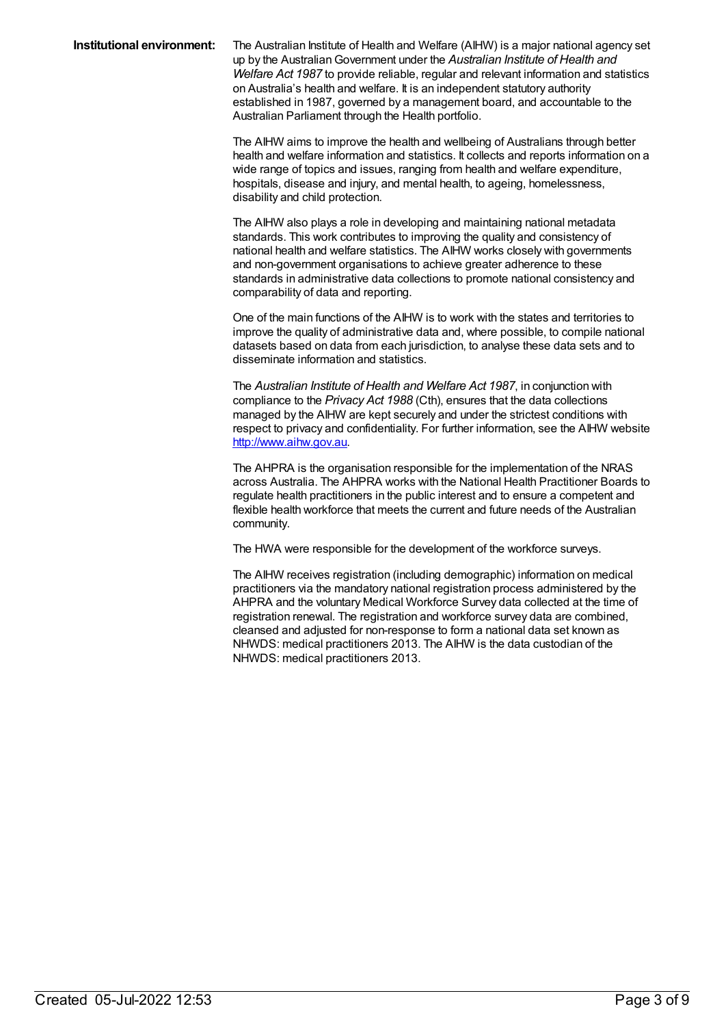**Institutional environment:** The Australian Institute of Health and Welfare (AIHW) is a major national agency set up by the AustralianGovernment under the *Australian Institute of Health and Welfare Act 1987* to provide reliable, regular and relevant information and statistics on Australia's health and welfare. It is an independent statutory authority established in 1987, governed by a management board, and accountable to the Australian Parliament through the Health portfolio.

> The AIHW aims to improve the health and wellbeing of Australians through better health and welfare information and statistics. It collects and reports information on a wide range of topics and issues, ranging from health and welfare expenditure, hospitals, disease and injury, and mental health, to ageing, homelessness, disability and child protection.

The AIHW also plays a role in developing and maintaining national metadata standards. This work contributes to improving the quality and consistency of national health and welfare statistics. The AIHW works closely with governments and non-government organisations to achieve greater adherence to these standards in administrative data collections to promote national consistency and comparability of data and reporting.

One of the main functions of the AIHW is to work with the states and territories to improve the quality of administrative data and, where possible, to compile national datasets based on data from each jurisdiction, to analyse these data sets and to disseminate information and statistics.

The *Australian Institute of Health and Welfare Act 1987*, in conjunction with compliance to the *Privacy Act 1988* (Cth), ensures that the data collections managed by the AIHW are kept securely and under the strictest conditions with respect to privacy and confidentiality. For further information, see the AIHW website <http://www.aihw.gov.au>.

The AHPRA is the organisation responsible for the implementation of the NRAS across Australia. The AHPRA works with the National Health Practitioner Boards to regulate health practitioners in the public interest and to ensure a competent and flexible health workforce that meets the current and future needs of the Australian community.

The HWA were responsible for the development of the workforce surveys.

The AIHW receives registration (including demographic) information on medical practitioners via the mandatory national registration process administered by the AHPRA and the voluntary Medical Workforce Survey data collected at the time of registration renewal. The registration and workforce survey data are combined, cleansed and adjusted for non-response to form a national data set known as NHWDS: medical practitioners 2013. The AIHW is the data custodian of the NHWDS: medical practitioners 2013.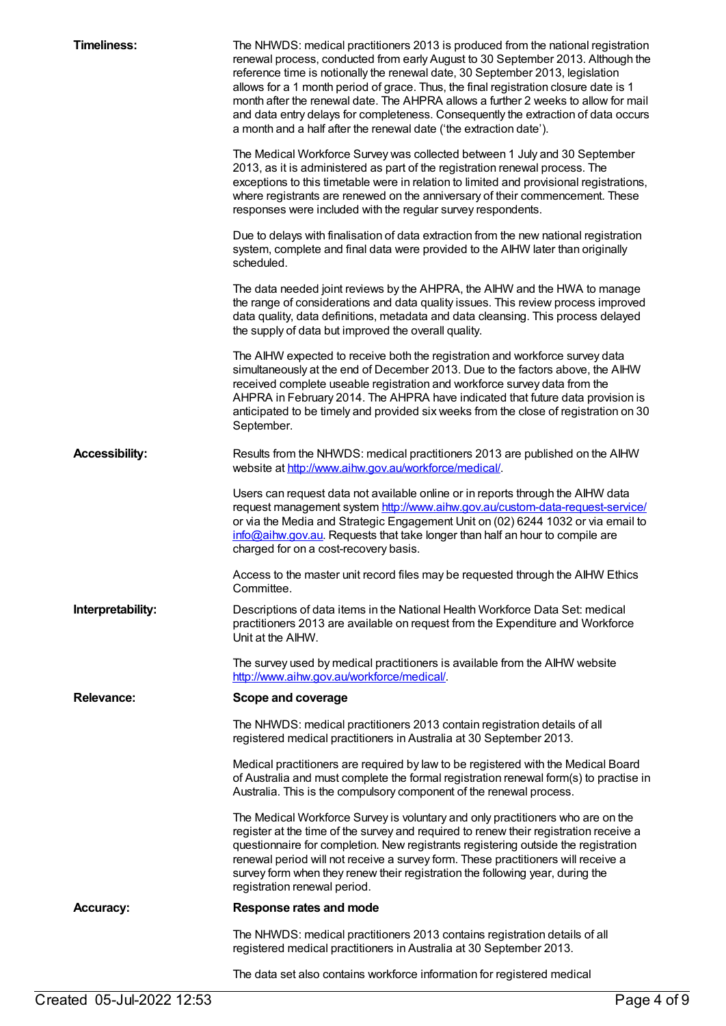| <b>Timeliness:</b>                      | The NHWDS: medical practitioners 2013 is produced from the national registration<br>renewal process, conducted from early August to 30 September 2013. Although the<br>reference time is notionally the renewal date, 30 September 2013, legislation<br>allows for a 1 month period of grace. Thus, the final registration closure date is 1<br>month after the renewal date. The AHPRA allows a further 2 weeks to allow for mail<br>and data entry delays for completeness. Consequently the extraction of data occurs<br>a month and a half after the renewal date ('the extraction date'). |
|-----------------------------------------|------------------------------------------------------------------------------------------------------------------------------------------------------------------------------------------------------------------------------------------------------------------------------------------------------------------------------------------------------------------------------------------------------------------------------------------------------------------------------------------------------------------------------------------------------------------------------------------------|
|                                         | The Medical Workforce Survey was collected between 1 July and 30 September<br>2013, as it is administered as part of the registration renewal process. The<br>exceptions to this timetable were in relation to limited and provisional registrations,<br>where registrants are renewed on the anniversary of their commencement. These<br>responses were included with the regular survey respondents.                                                                                                                                                                                         |
|                                         | Due to delays with finalisation of data extraction from the new national registration<br>system, complete and final data were provided to the AIHW later than originally<br>scheduled.                                                                                                                                                                                                                                                                                                                                                                                                         |
|                                         | The data needed joint reviews by the AHPRA, the AIHW and the HWA to manage<br>the range of considerations and data quality issues. This review process improved<br>data quality, data definitions, metadata and data cleansing. This process delayed<br>the supply of data but improved the overall quality.                                                                                                                                                                                                                                                                                   |
|                                         | The AIHW expected to receive both the registration and workforce survey data<br>simultaneously at the end of December 2013. Due to the factors above, the AIHW<br>received complete useable registration and workforce survey data from the<br>AHPRA in February 2014. The AHPRA have indicated that future data provision is<br>anticipated to be timely and provided six weeks from the close of registration on 30<br>September.                                                                                                                                                            |
| <b>Accessibility:</b>                   | Results from the NHWDS: medical practitioners 2013 are published on the AIHW<br>website at http://www.aihw.gov.au/workforce/medical/.                                                                                                                                                                                                                                                                                                                                                                                                                                                          |
|                                         | Users can request data not available online or in reports through the AIHW data<br>request management system http://www.aihw.gov.au/custom-data-request-service/<br>or via the Media and Strategic Engagement Unit on (02) 6244 1032 or via email to<br>info@aihw.gov.au. Requests that take longer than half an hour to compile are<br>charged for on a cost-recovery basis.                                                                                                                                                                                                                  |
|                                         | Access to the master unit record files may be requested through the AIHW Ethics<br>Committee.                                                                                                                                                                                                                                                                                                                                                                                                                                                                                                  |
| Interpretability:                       | Descriptions of data items in the National Health Workforce Data Set: medical<br>practitioners 2013 are available on request from the Expenditure and Workforce<br>Unit at the AIHW.                                                                                                                                                                                                                                                                                                                                                                                                           |
|                                         | The survey used by medical practitioners is available from the AIHW website<br>http://www.aihw.gov.au/workforce/medical/.                                                                                                                                                                                                                                                                                                                                                                                                                                                                      |
| <b>Relevance:</b><br>Scope and coverage |                                                                                                                                                                                                                                                                                                                                                                                                                                                                                                                                                                                                |
|                                         | The NHWDS: medical practitioners 2013 contain registration details of all<br>registered medical practitioners in Australia at 30 September 2013.                                                                                                                                                                                                                                                                                                                                                                                                                                               |
|                                         | Medical practitioners are required by law to be registered with the Medical Board<br>of Australia and must complete the formal registration renewal form(s) to practise in<br>Australia. This is the compulsory component of the renewal process.                                                                                                                                                                                                                                                                                                                                              |
|                                         | The Medical Workforce Survey is voluntary and only practitioners who are on the<br>register at the time of the survey and required to renew their registration receive a<br>questionnaire for completion. New registrants registering outside the registration<br>renewal period will not receive a survey form. These practitioners will receive a<br>survey form when they renew their registration the following year, during the<br>registration renewal period.                                                                                                                           |
| <b>Accuracy:</b>                        | Response rates and mode                                                                                                                                                                                                                                                                                                                                                                                                                                                                                                                                                                        |
|                                         | The NHWDS: medical practitioners 2013 contains registration details of all<br>registered medical practitioners in Australia at 30 September 2013.                                                                                                                                                                                                                                                                                                                                                                                                                                              |
|                                         | The data set also contains workforce information for registered medical                                                                                                                                                                                                                                                                                                                                                                                                                                                                                                                        |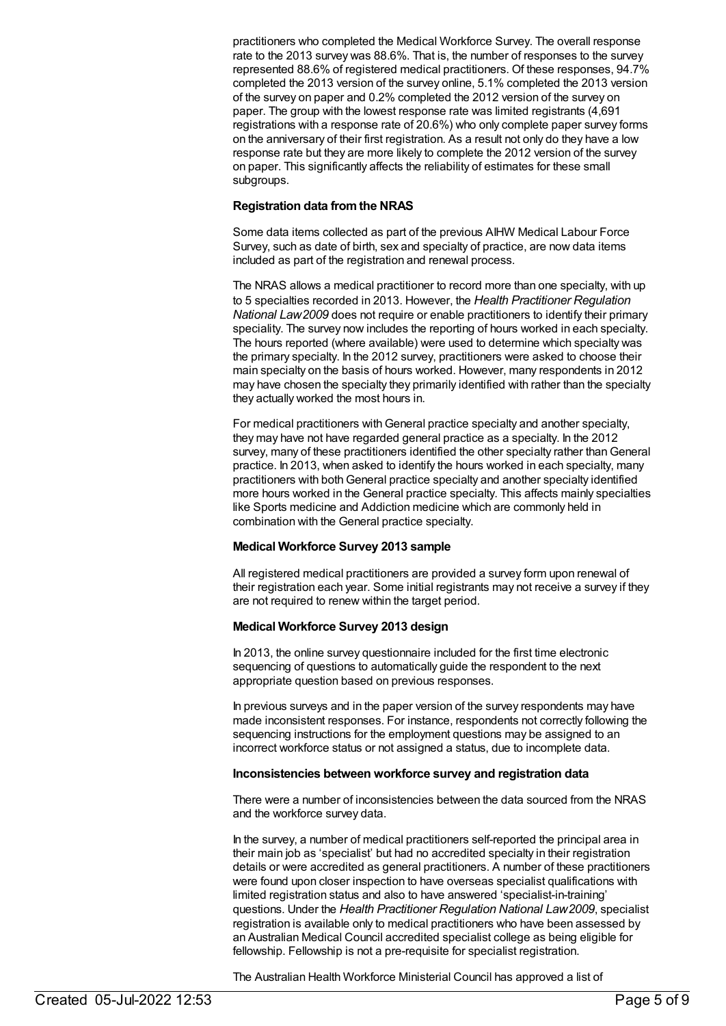practitioners who completed the Medical Workforce Survey. The overall response rate to the 2013 survey was 88.6%. That is, the number of responses to the survey represented 88.6% of registered medical practitioners. Of these responses, 94.7% completed the 2013 version of the survey online, 5.1% completed the 2013 version of the survey on paper and 0.2% completed the 2012 version of the survey on paper. The group with the lowest response rate was limited registrants (4,691 registrations with a response rate of 20.6%) who only complete paper survey forms on the anniversary of their first registration. As a result not only do they have a low response rate but they are more likely to complete the 2012 version of the survey on paper. This significantly affects the reliability of estimates for these small subgroups.

#### **Registration data fromthe NRAS**

Some data items collected as part of the previous AIHW Medical Labour Force Survey, such as date of birth, sex and specialty of practice, are now data items included as part of the registration and renewal process.

The NRAS allows a medical practitioner to record more than one specialty, with up to 5 specialties recorded in 2013. However, the *Health Practitioner Regulation National Law2009* does not require or enable practitioners to identify their primary speciality. The survey now includes the reporting of hours worked in each specialty. The hours reported (where available) were used to determine which specialty was the primary specialty. In the 2012 survey, practitioners were asked to choose their main specialty on the basis of hours worked. However, many respondents in 2012 may have chosen the specialty they primarily identified with rather than the specialty they actually worked the most hours in.

For medical practitioners with General practice specialty and another specialty, they may have not have regarded general practice as a specialty. In the 2012 survey, many of these practitioners identified the other specialty rather than General practice. In 2013, when asked to identify the hours worked in each specialty, many practitioners with both General practice specialty and another specialty identified more hours worked in the General practice specialty. This affects mainly specialties like Sports medicine and Addiction medicine which are commonly held in combination with the General practice specialty.

#### **Medical Workforce Survey 2013 sample**

All registered medical practitioners are provided a survey form upon renewal of their registration each year. Some initial registrants may not receive a survey if they are not required to renew within the target period.

#### **Medical Workforce Survey 2013 design**

In 2013, the online survey questionnaire included for the first time electronic sequencing of questions to automatically guide the respondent to the next appropriate question based on previous responses.

In previous surveys and in the paper version of the survey respondents may have made inconsistent responses. For instance, respondents not correctly following the sequencing instructions for the employment questions may be assigned to an incorrect workforce status or not assigned a status, due to incomplete data.

#### **Inconsistencies between workforce survey and registration data**

There were a number of inconsistencies between the data sourced from the NRAS and the workforce survey data.

In the survey, a number of medical practitioners self-reported the principal area in their main job as 'specialist' but had no accredited specialty in their registration details or were accredited as general practitioners. A number of these practitioners were found upon closer inspection to have overseas specialist qualifications with limited registration status and also to have answered 'specialist-in-training' questions. Under the *Health Practitioner Regulation National Law2009*, specialist registration is available only to medical practitioners who have been assessed by an Australian Medical Council accredited specialist college as being eligible for fellowship. Fellowship is not a pre-requisite for specialist registration.

The Australian Health Workforce Ministerial Council has approved a list of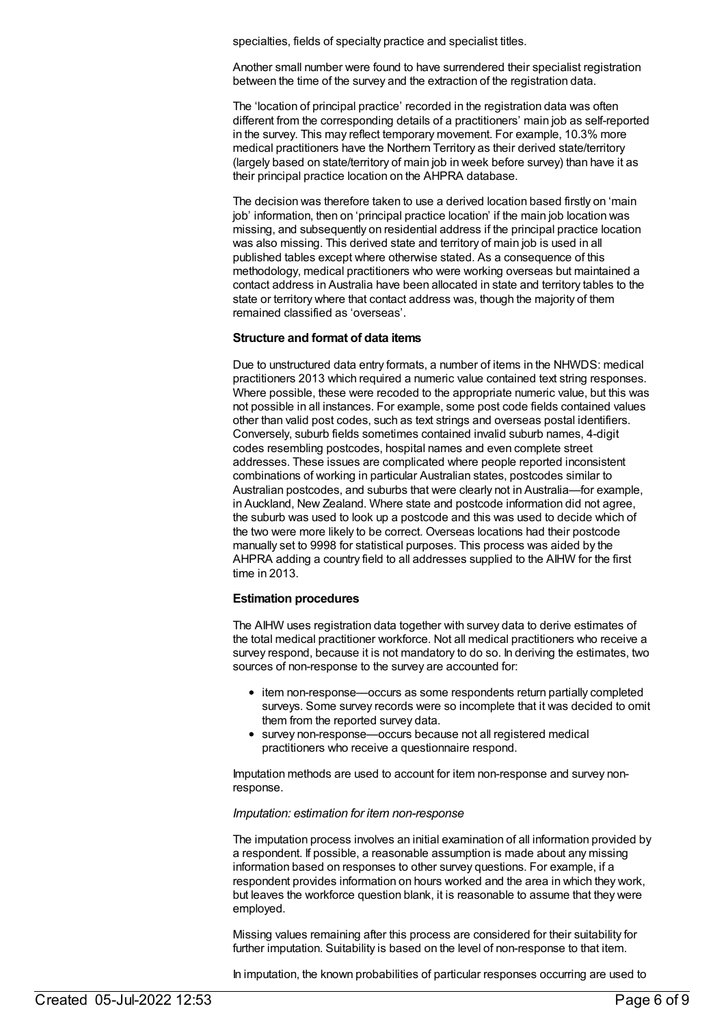specialties, fields of specialty practice and specialist titles.

Another small number were found to have surrendered their specialist registration between the time of the survey and the extraction of the registration data.

The 'location of principal practice' recorded in the registration data was often different from the corresponding details of a practitioners' main job as self-reported in the survey. This may reflect temporary movement. For example, 10.3% more medical practitioners have the Northern Territory as their derived state/territory (largely based on state/territory of main job in week before survey) than have it as their principal practice location on the AHPRA database.

The decision was therefore taken to use a derived location based firstly on 'main job' information, then on 'principal practice location' if the main job location was missing, and subsequently on residential address if the principal practice location was also missing. This derived state and territory of main job is used in all published tables except where otherwise stated. As a consequence of this methodology, medical practitioners who were working overseas but maintained a contact address in Australia have been allocated in state and territory tables to the state or territory where that contact address was, though the majority of them remained classified as 'overseas'.

#### **Structure and format of data items**

Due to unstructured data entry formats, a number of items in the NHWDS: medical practitioners 2013 which required a numeric value contained text string responses. Where possible, these were recoded to the appropriate numeric value, but this was not possible in all instances. For example, some post code fields contained values other than valid post codes, such as text strings and overseas postal identifiers. Conversely, suburb fields sometimes contained invalid suburb names, 4-digit codes resembling postcodes, hospital names and even complete street addresses. These issues are complicated where people reported inconsistent combinations of working in particular Australian states, postcodes similar to Australian postcodes, and suburbs that were clearly not in Australia—for example, in Auckland, New Zealand. Where state and postcode information did not agree, the suburb was used to look up a postcode and this was used to decide which of the two were more likely to be correct. Overseas locations had their postcode manually set to 9998 for statistical purposes. This process was aided by the AHPRA adding a country field to all addresses supplied to the AIHW for the first time in 2013.

#### **Estimation procedures**

The AIHW uses registration data together with survey data to derive estimates of the total medical practitioner workforce. Not all medical practitioners who receive a survey respond, because it is not mandatory to do so. In deriving the estimates, two sources of non-response to the survey are accounted for:

- item non-response—occurs as some respondents return partially completed surveys. Some survey records were so incomplete that it was decided to omit them from the reported survey data.
- survey non-response—occurs because not all registered medical practitioners who receive a questionnaire respond.

Imputation methods are used to account for item non-response and survey nonresponse.

#### *Imputation: estimation for item non-response*

The imputation process involves an initial examination of all information provided by a respondent. If possible, a reasonable assumption is made about any missing information based on responses to other survey questions. For example, if a respondent provides information on hours worked and the area in which they work, but leaves the workforce question blank, it is reasonable to assume that they were employed.

Missing values remaining after this process are considered for their suitability for further imputation. Suitability is based on the level of non-response to that item.

In imputation, the known probabilities of particular responses occurring are used to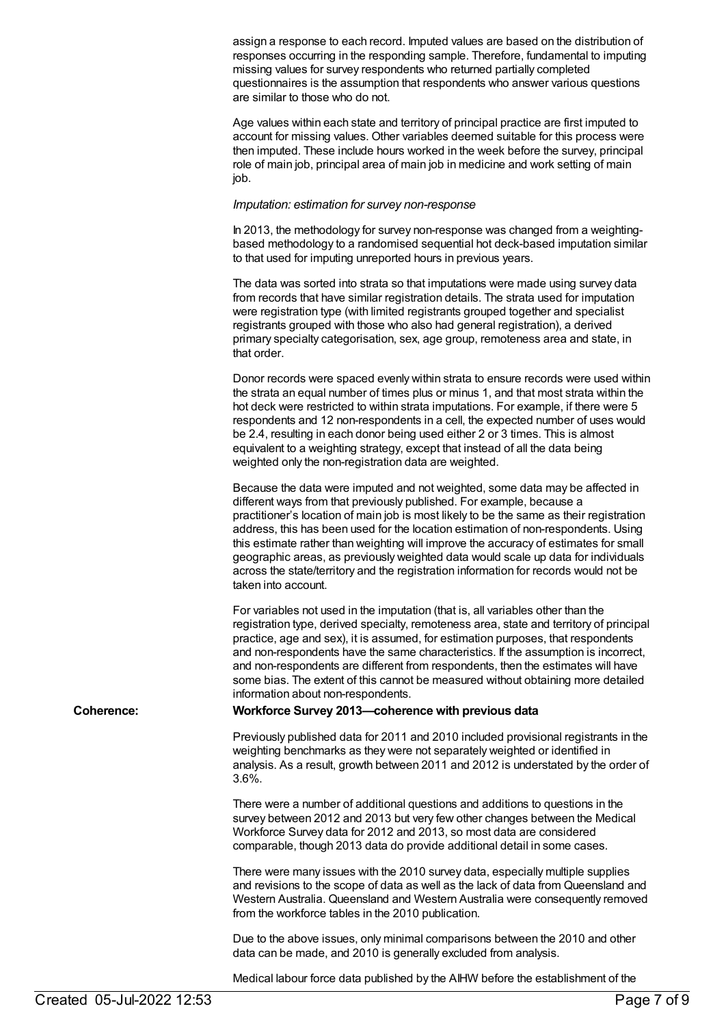assign a response to each record. Imputed values are based on the distribution of responses occurring in the responding sample. Therefore, fundamental to imputing missing values for survey respondents who returned partially completed questionnaires is the assumption that respondents who answer various questions are similar to those who do not.

Age values within each state and territory of principal practice are first imputed to account for missing values. Other variables deemed suitable for this process were then imputed. These include hours worked in the week before the survey, principal role of main job, principal area of main job in medicine and work setting of main job.

#### *Imputation: estimation for survey non-response*

In 2013, the methodology for survey non-response was changed from a weightingbased methodology to a randomised sequential hot deck-based imputation similar to that used for imputing unreported hours in previous years.

The data was sorted into strata so that imputations were made using survey data from records that have similar registration details. The strata used for imputation were registration type (with limited registrants grouped together and specialist registrants grouped with those who also had general registration), a derived primary specialty categorisation, sex, age group, remoteness area and state, in that order.

Donor records were spaced evenly within strata to ensure records were used within the strata an equal number of times plus or minus 1, and that most strata within the hot deck were restricted to within strata imputations. For example, if there were 5 respondents and 12 non-respondents in a cell, the expected number of uses would be 2.4, resulting in each donor being used either 2 or 3 times. This is almost equivalent to a weighting strategy, except that instead of all the data being weighted only the non-registration data are weighted.

Because the data were imputed and not weighted, some data may be affected in different ways from that previously published. For example, because a practitioner's location of main job is most likely to be the same as their registration address, this has been used for the location estimation of non-respondents. Using this estimate rather than weighting will improve the accuracy of estimates for small geographic areas, as previously weighted data would scale up data for individuals across the state/territory and the registration information for records would not be taken into account.

For variables not used in the imputation (that is, all variables other than the registration type, derived specialty, remoteness area, state and territory of principal practice, age and sex), it is assumed, for estimation purposes, that respondents and non-respondents have the same characteristics. If the assumption is incorrect, and non-respondents are different from respondents, then the estimates will have some bias. The extent of this cannot be measured without obtaining more detailed information about non-respondents.

#### **Coherence: Workforce Survey 2013—coherence with previous data**

Previously published data for 2011 and 2010 included provisional registrants in the weighting benchmarks as they were not separately weighted or identified in analysis. As a result, growth between 2011 and 2012 is understated by the order of 3.6%.

There were a number of additional questions and additions to questions in the survey between 2012 and 2013 but very few other changes between the Medical Workforce Survey data for 2012 and 2013, so most data are considered comparable, though 2013 data do provide additional detail in some cases.

There were many issues with the 2010 survey data, especially multiple supplies and revisions to the scope of data as well as the lack of data from Queensland and Western Australia. Queensland and Western Australia were consequently removed from the workforce tables in the 2010 publication.

Due to the above issues, only minimal comparisons between the 2010 and other data can be made, and 2010 is generally excluded from analysis.

Medical labour force data published by the AIHW before the establishment of the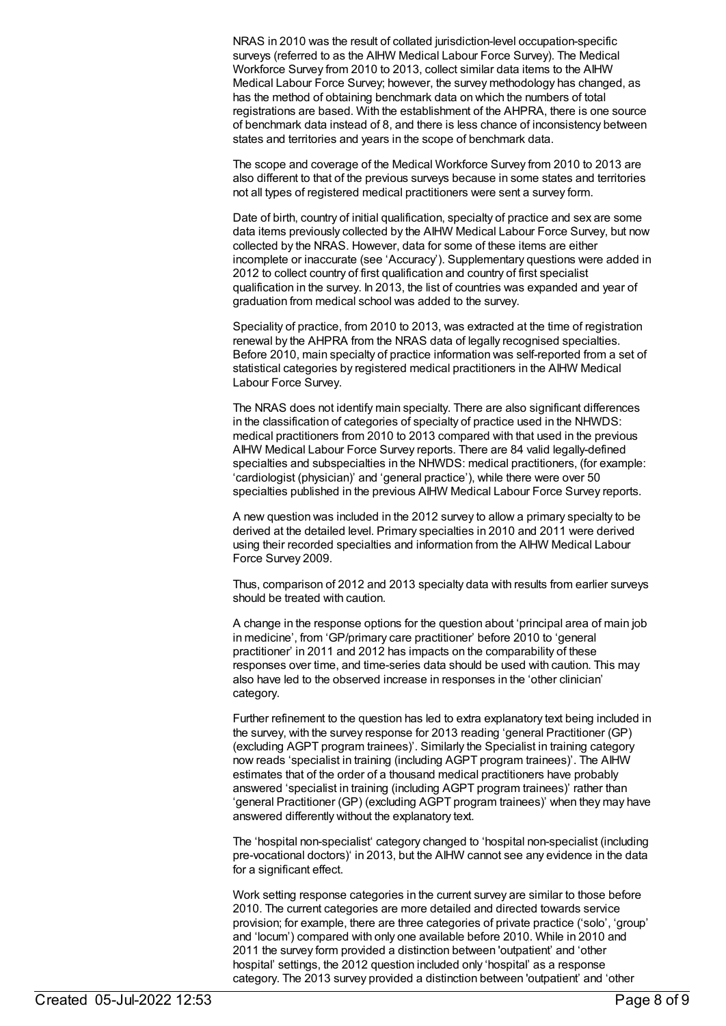NRAS in 2010 was the result of collated jurisdiction-level occupation-specific surveys (referred to as the AIHW Medical Labour Force Survey). The Medical Workforce Survey from 2010 to 2013, collect similar data items to the AIHW Medical Labour Force Survey; however, the survey methodology has changed, as has the method of obtaining benchmark data on which the numbers of total registrations are based. With the establishment of the AHPRA, there is one source of benchmark data instead of 8, and there is less chance of inconsistency between states and territories and years in the scope of benchmark data.

The scope and coverage of the Medical Workforce Survey from 2010 to 2013 are also different to that of the previous surveys because in some states and territories not all types of registered medical practitioners were sent a survey form.

Date of birth, country of initial qualification, specialty of practice and sex are some data items previously collected by the AIHW Medical Labour Force Survey, but now collected by the NRAS. However, data for some of these items are either incomplete or inaccurate (see 'Accuracy'). Supplementary questions were added in 2012 to collect country of first qualification and country of first specialist qualification in the survey. In 2013, the list of countries was expanded and year of graduation from medical school was added to the survey.

Speciality of practice, from 2010 to 2013, was extracted at the time of registration renewal by the AHPRA from the NRAS data of legally recognised specialties. Before 2010, main specialty of practice information was self-reported from a set of statistical categories by registered medical practitioners in the AIHW Medical Labour Force Survey.

The NRAS does not identify main specialty. There are also significant differences in the classification of categories of specialty of practice used in the NHWDS: medical practitioners from 2010 to 2013 compared with that used in the previous AIHW Medical Labour Force Survey reports. There are 84 valid legally-defined specialties and subspecialties in the NHWDS: medical practitioners, (for example: 'cardiologist (physician)' and 'general practice'), while there were over 50 specialties published in the previous AIHW Medical Labour Force Survey reports.

A new question was included in the 2012 survey to allow a primary specialty to be derived at the detailed level. Primary specialties in 2010 and 2011 were derived using their recorded specialties and information from the AIHW Medical Labour Force Survey 2009.

Thus, comparison of 2012 and 2013 specialty data with results from earlier surveys should be treated with caution.

A change in the response options for the question about 'principal area of main job in medicine', from 'GP/primary care practitioner' before 2010 to 'general practitioner' in 2011 and 2012 has impacts on the comparability of these responses over time, and time-series data should be used with caution. This may also have led to the observed increase in responses in the 'other clinician' category.

Further refinement to the question has led to extra explanatory text being included in the survey, with the survey response for 2013 reading 'general Practitioner (GP) (excluding AGPT program trainees)'. Similarly the Specialist in training category now reads 'specialist in training (including AGPT program trainees)'. The AIHW estimates that of the order of a thousand medical practitioners have probably answered 'specialist in training (including AGPT program trainees)' rather than 'general Practitioner (GP) (excluding AGPT program trainees)' when they may have answered differently without the explanatory text.

The 'hospital non-specialist' category changed to 'hospital non-specialist (including pre-vocational doctors)' in 2013, but the AIHW cannot see any evidence in the data for a significant effect.

Work setting response categories in the current survey are similar to those before 2010. The current categories are more detailed and directed towards service provision; for example, there are three categories of private practice ('solo', 'group' and 'locum') compared with only one available before 2010. While in 2010 and 2011 the survey form provided a distinction between 'outpatient' and 'other hospital' settings, the 2012 question included only 'hospital' as a response category. The 2013 survey provided a distinction between 'outpatient' and 'other